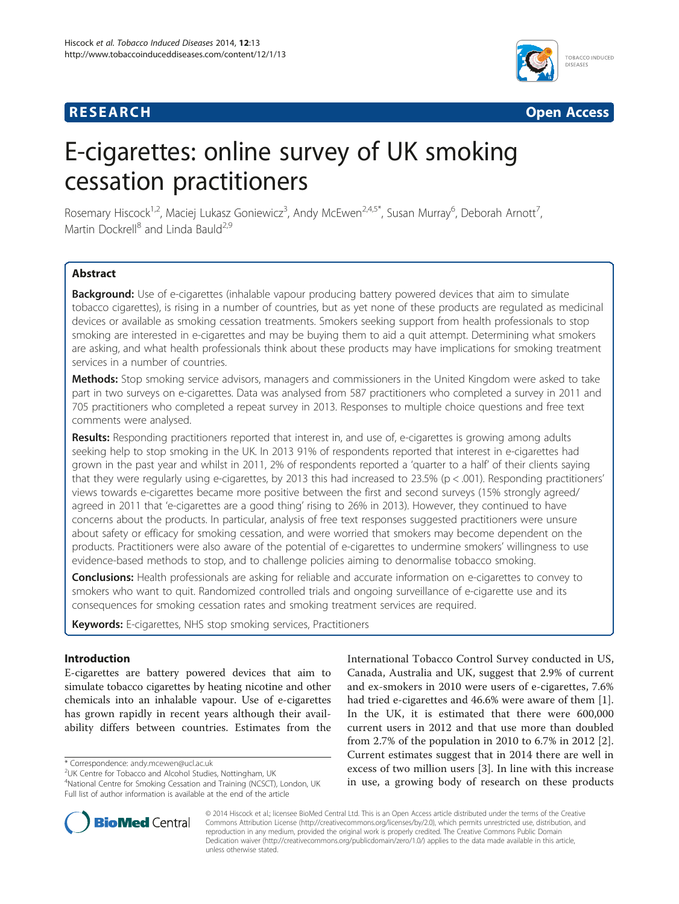

**RESEARCH RESEARCH** *CHECKER CHECKER CHECKER CHECKER CHECKER CHECKER CHECKER CHECKER CHECKER CHECKER CHECKER* 

# E-cigarettes: online survey of UK smoking cessation practitioners

Rosemary Hiscock<sup>1,2</sup>, Maciej Lukasz Goniewicz<sup>3</sup>, Andy McEwen<sup>2,4,5\*</sup>, Susan Murray<sup>6</sup>, Deborah Arnott<sup>7</sup> , Martin Dockrell<sup>8</sup> and Linda Bauld<sup>2,9</sup>

# Abstract

**Background:** Use of e-cigarettes (inhalable vapour producing battery powered devices that aim to simulate tobacco cigarettes), is rising in a number of countries, but as yet none of these products are regulated as medicinal devices or available as smoking cessation treatments. Smokers seeking support from health professionals to stop smoking are interested in e-cigarettes and may be buying them to aid a quit attempt. Determining what smokers are asking, and what health professionals think about these products may have implications for smoking treatment services in a number of countries.

Methods: Stop smoking service advisors, managers and commissioners in the United Kingdom were asked to take part in two surveys on e-cigarettes. Data was analysed from 587 practitioners who completed a survey in 2011 and 705 practitioners who completed a repeat survey in 2013. Responses to multiple choice questions and free text comments were analysed.

Results: Responding practitioners reported that interest in, and use of, e-cigarettes is growing among adults seeking help to stop smoking in the UK. In 2013 91% of respondents reported that interest in e-cigarettes had grown in the past year and whilst in 2011, 2% of respondents reported a 'quarter to a half' of their clients saying that they were regularly using e-cigarettes, by 2013 this had increased to 23.5% ( $p < .001$ ). Responding practitioners' views towards e-cigarettes became more positive between the first and second surveys (15% strongly agreed/ agreed in 2011 that 'e-cigarettes are a good thing' rising to 26% in 2013). However, they continued to have concerns about the products. In particular, analysis of free text responses suggested practitioners were unsure about safety or efficacy for smoking cessation, and were worried that smokers may become dependent on the products. Practitioners were also aware of the potential of e-cigarettes to undermine smokers' willingness to use evidence-based methods to stop, and to challenge policies aiming to denormalise tobacco smoking.

Conclusions: Health professionals are asking for reliable and accurate information on e-cigarettes to convey to smokers who want to quit. Randomized controlled trials and ongoing surveillance of e-cigarette use and its consequences for smoking cessation rates and smoking treatment services are required.

Keywords: E-cigarettes, NHS stop smoking services, Practitioners

# Introduction

E-cigarettes are battery powered devices that aim to simulate tobacco cigarettes by heating nicotine and other chemicals into an inhalable vapour. Use of e-cigarettes has grown rapidly in recent years although their availability differs between countries. Estimates from the International Tobacco Control Survey conducted in US, Canada, Australia and UK, suggest that 2.9% of current and ex-smokers in 2010 were users of e-cigarettes, 7.6% had tried e-cigarettes and 46.6% were aware of them [\[1](#page-8-0)]. In the UK, it is estimated that there were 600,000 current users in 2012 and that use more than doubled from 2.7% of the population in 2010 to 6.7% in 2012 [[2](#page-8-0)]. Current estimates suggest that in 2014 there are well in excess of two million users [[3\]](#page-8-0). In line with this increase in use, a growing body of research on these products



© 2014 Hiscock et al.; licensee BioMed Central Ltd. This is an Open Access article distributed under the terms of the Creative Commons Attribution License [\(http://creativecommons.org/licenses/by/2.0\)](http://creativecommons.org/licenses/by/2.0), which permits unrestricted use, distribution, and reproduction in any medium, provided the original work is properly credited. The Creative Commons Public Domain Dedication waiver [\(http://creativecommons.org/publicdomain/zero/1.0/](http://creativecommons.org/publicdomain/zero/1.0/)) applies to the data made available in this article, unless otherwise stated.

<sup>\*</sup> Correspondence: [andy.mcewen@ucl.ac.uk](mailto:andy.mcewen@ucl.ac.uk) <sup>2</sup>

<sup>&</sup>lt;sup>2</sup>UK Centre for Tobacco and Alcohol Studies, Nottingham, UK

<sup>4</sup> National Centre for Smoking Cessation and Training (NCSCT), London, UK Full list of author information is available at the end of the article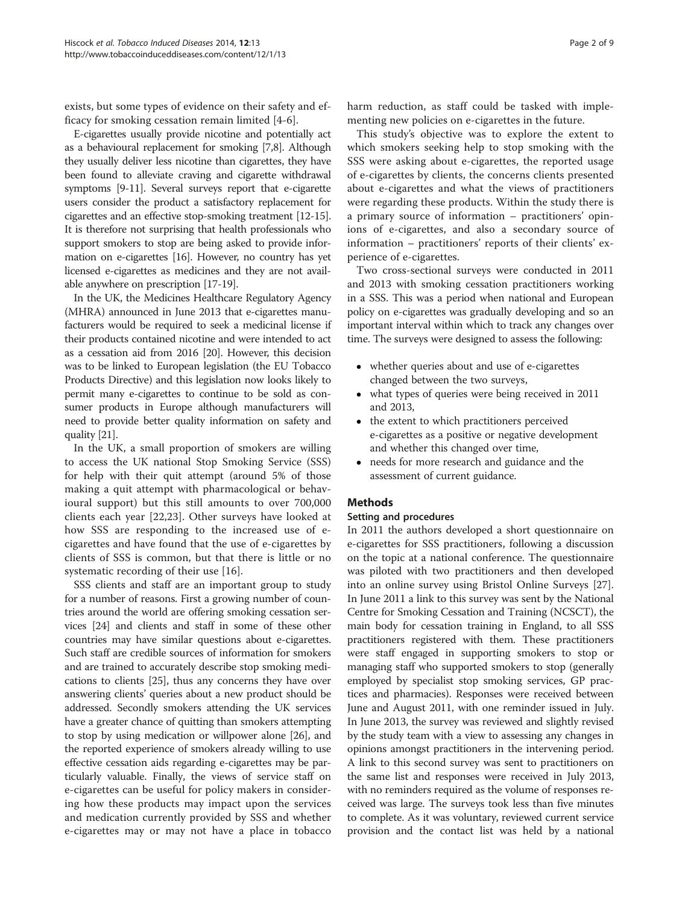exists, but some types of evidence on their safety and efficacy for smoking cessation remain limited [[4-6\]](#page-8-0).

E-cigarettes usually provide nicotine and potentially act as a behavioural replacement for smoking [\[7,8](#page-8-0)]. Although they usually deliver less nicotine than cigarettes, they have been found to alleviate craving and cigarette withdrawal symptoms [\[9-11\]](#page-8-0). Several surveys report that e-cigarette users consider the product a satisfactory replacement for cigarettes and an effective stop-smoking treatment [\[12](#page-8-0)-[15](#page-8-0)]. It is therefore not surprising that health professionals who support smokers to stop are being asked to provide information on e-cigarettes [\[16\]](#page-8-0). However, no country has yet licensed e-cigarettes as medicines and they are not available anywhere on prescription [\[17-19](#page-8-0)].

In the UK, the Medicines Healthcare Regulatory Agency (MHRA) announced in June 2013 that e-cigarettes manufacturers would be required to seek a medicinal license if their products contained nicotine and were intended to act as a cessation aid from 2016 [[20](#page-8-0)]. However, this decision was to be linked to European legislation (the EU Tobacco Products Directive) and this legislation now looks likely to permit many e-cigarettes to continue to be sold as consumer products in Europe although manufacturers will need to provide better quality information on safety and quality [\[21](#page-8-0)].

In the UK, a small proportion of smokers are willing to access the UK national Stop Smoking Service (SSS) for help with their quit attempt (around 5% of those making a quit attempt with pharmacological or behavioural support) but this still amounts to over 700,000 clients each year [\[22,23\]](#page-8-0). Other surveys have looked at how SSS are responding to the increased use of ecigarettes and have found that the use of e-cigarettes by clients of SSS is common, but that there is little or no systematic recording of their use [[16\]](#page-8-0).

SSS clients and staff are an important group to study for a number of reasons. First a growing number of countries around the world are offering smoking cessation services [[24](#page-8-0)] and clients and staff in some of these other countries may have similar questions about e-cigarettes. Such staff are credible sources of information for smokers and are trained to accurately describe stop smoking medications to clients [\[25\]](#page-8-0), thus any concerns they have over answering clients' queries about a new product should be addressed. Secondly smokers attending the UK services have a greater chance of quitting than smokers attempting to stop by using medication or willpower alone [\[26](#page-8-0)], and the reported experience of smokers already willing to use effective cessation aids regarding e-cigarettes may be particularly valuable. Finally, the views of service staff on e-cigarettes can be useful for policy makers in considering how these products may impact upon the services and medication currently provided by SSS and whether e-cigarettes may or may not have a place in tobacco harm reduction, as staff could be tasked with implementing new policies on e-cigarettes in the future.

This study's objective was to explore the extent to which smokers seeking help to stop smoking with the SSS were asking about e-cigarettes, the reported usage of e-cigarettes by clients, the concerns clients presented about e-cigarettes and what the views of practitioners were regarding these products. Within the study there is a primary source of information – practitioners' opinions of e-cigarettes, and also a secondary source of information – practitioners' reports of their clients' experience of e-cigarettes.

Two cross-sectional surveys were conducted in 2011 and 2013 with smoking cessation practitioners working in a SSS. This was a period when national and European policy on e-cigarettes was gradually developing and so an important interval within which to track any changes over time. The surveys were designed to assess the following:

- whether queries about and use of e-cigarettes changed between the two surveys,
- what types of queries were being received in 2011 and 2013,
- the extent to which practitioners perceived e-cigarettes as a positive or negative development and whether this changed over time,
- needs for more research and guidance and the assessment of current guidance.

## Methods

#### Setting and procedures

In 2011 the authors developed a short questionnaire on e-cigarettes for SSS practitioners, following a discussion on the topic at a national conference. The questionnaire was piloted with two practitioners and then developed into an online survey using Bristol Online Surveys [\[27](#page-8-0)]. In June 2011 a link to this survey was sent by the National Centre for Smoking Cessation and Training (NCSCT), the main body for cessation training in England, to all SSS practitioners registered with them. These practitioners were staff engaged in supporting smokers to stop or managing staff who supported smokers to stop (generally employed by specialist stop smoking services, GP practices and pharmacies). Responses were received between June and August 2011, with one reminder issued in July. In June 2013, the survey was reviewed and slightly revised by the study team with a view to assessing any changes in opinions amongst practitioners in the intervening period. A link to this second survey was sent to practitioners on the same list and responses were received in July 2013, with no reminders required as the volume of responses received was large. The surveys took less than five minutes to complete. As it was voluntary, reviewed current service provision and the contact list was held by a national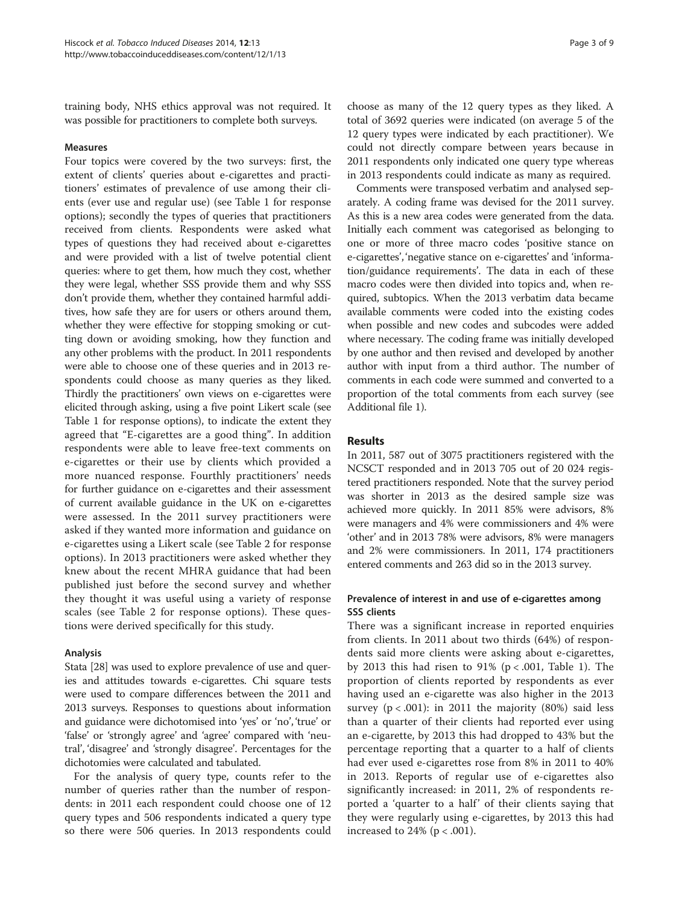training body, NHS ethics approval was not required. It was possible for practitioners to complete both surveys.

#### Measures

Four topics were covered by the two surveys: first, the extent of clients' queries about e-cigarettes and practitioners' estimates of prevalence of use among their clients (ever use and regular use) (see Table [1](#page-3-0) for response options); secondly the types of queries that practitioners received from clients. Respondents were asked what types of questions they had received about e-cigarettes and were provided with a list of twelve potential client queries: where to get them, how much they cost, whether they were legal, whether SSS provide them and why SSS don't provide them, whether they contained harmful additives, how safe they are for users or others around them, whether they were effective for stopping smoking or cutting down or avoiding smoking, how they function and any other problems with the product. In 2011 respondents were able to choose one of these queries and in 2013 respondents could choose as many queries as they liked. Thirdly the practitioners' own views on e-cigarettes were elicited through asking, using a five point Likert scale (see Table [1](#page-3-0) for response options), to indicate the extent they agreed that "E-cigarettes are a good thing". In addition respondents were able to leave free-text comments on e-cigarettes or their use by clients which provided a more nuanced response. Fourthly practitioners' needs for further guidance on e-cigarettes and their assessment of current available guidance in the UK on e-cigarettes were assessed. In the 2011 survey practitioners were asked if they wanted more information and guidance on e-cigarettes using a Likert scale (see Table [2](#page-4-0) for response options). In 2013 practitioners were asked whether they knew about the recent MHRA guidance that had been published just before the second survey and whether they thought it was useful using a variety of response scales (see Table [2](#page-4-0) for response options). These questions were derived specifically for this study.

#### Analysis

Stata [\[28\]](#page-8-0) was used to explore prevalence of use and queries and attitudes towards e-cigarettes. Chi square tests were used to compare differences between the 2011 and 2013 surveys. Responses to questions about information and guidance were dichotomised into 'yes' or 'no', 'true' or 'false' or 'strongly agree' and 'agree' compared with 'neutral', 'disagree' and 'strongly disagree'. Percentages for the dichotomies were calculated and tabulated.

For the analysis of query type, counts refer to the number of queries rather than the number of respondents: in 2011 each respondent could choose one of 12 query types and 506 respondents indicated a query type so there were 506 queries. In 2013 respondents could

choose as many of the 12 query types as they liked. A total of 3692 queries were indicated (on average 5 of the 12 query types were indicated by each practitioner). We could not directly compare between years because in 2011 respondents only indicated one query type whereas in 2013 respondents could indicate as many as required.

Comments were transposed verbatim and analysed separately. A coding frame was devised for the 2011 survey. As this is a new area codes were generated from the data. Initially each comment was categorised as belonging to one or more of three macro codes 'positive stance on e-cigarettes', 'negative stance on e-cigarettes' and 'information/guidance requirements'. The data in each of these macro codes were then divided into topics and, when required, subtopics. When the 2013 verbatim data became available comments were coded into the existing codes when possible and new codes and subcodes were added where necessary. The coding frame was initially developed by one author and then revised and developed by another author with input from a third author. The number of comments in each code were summed and converted to a proportion of the total comments from each survey (see Additional file [1](#page-7-0)).

# Results

In 2011, 587 out of 3075 practitioners registered with the NCSCT responded and in 2013 705 out of 20 024 registered practitioners responded. Note that the survey period was shorter in 2013 as the desired sample size was achieved more quickly. In 2011 85% were advisors, 8% were managers and 4% were commissioners and 4% were 'other' and in 2013 78% were advisors, 8% were managers and 2% were commissioners. In 2011, 174 practitioners entered comments and 263 did so in the 2013 survey.

# Prevalence of interest in and use of e-cigarettes among SSS clients

There was a significant increase in reported enquiries from clients. In 2011 about two thirds (64%) of respondents said more clients were asking about e-cigarettes, by 2013 this had risen to 91% ( $p < .001$ , Table [1\)](#page-3-0). The proportion of clients reported by respondents as ever having used an e-cigarette was also higher in the 2013 survey  $(p < .001)$ : in 2011 the majority  $(80%)$  said less than a quarter of their clients had reported ever using an e-cigarette, by 2013 this had dropped to 43% but the percentage reporting that a quarter to a half of clients had ever used e-cigarettes rose from 8% in 2011 to 40% in 2013. Reports of regular use of e-cigarettes also significantly increased: in 2011, 2% of respondents reported a 'quarter to a half' of their clients saying that they were regularly using e-cigarettes, by 2013 this had increased to 24% ( $p < .001$ ).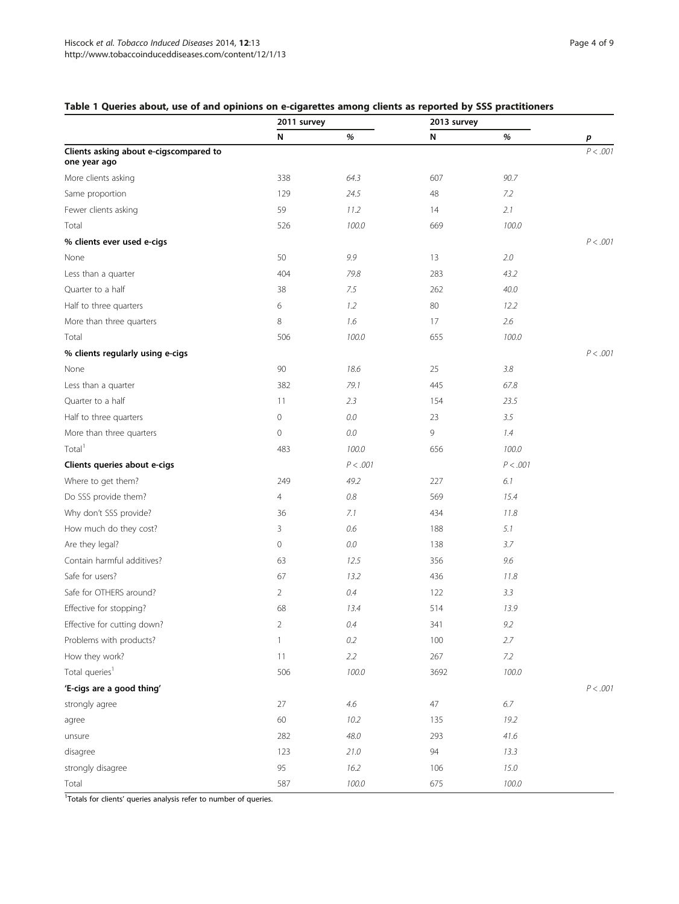# <span id="page-3-0"></span>Table 1 Queries about, use of and opinions on e-cigarettes among clients as reported by SSS practitioners

|                                                        | 2011 survey    |          | 2013 survey |          |          |
|--------------------------------------------------------|----------------|----------|-------------|----------|----------|
|                                                        | N              | %        | N           | %        | р        |
| Clients asking about e-cigscompared to<br>one year ago |                |          |             |          | P < .001 |
| More clients asking                                    | 338            | 64.3     | 607         | 90.7     |          |
| Same proportion                                        | 129            | 24.5     | 48          | 7.2      |          |
| Fewer clients asking                                   | 59             | 11.2     | 14          | 2.1      |          |
| Total                                                  | 526            | 100.0    | 669         | 100.0    |          |
| % clients ever used e-cigs                             |                |          |             |          | P < .001 |
| None                                                   | 50             | 9.9      | 13          | 2.0      |          |
| Less than a quarter                                    | 404            | 79.8     | 283         | 43.2     |          |
| Quarter to a half                                      | 38             | 7.5      | 262         | 40.0     |          |
| Half to three quarters                                 | 6              | 1.2      | 80          | 12.2     |          |
| More than three quarters                               | 8              | 1.6      | 17          | 2.6      |          |
| Total                                                  | 506            | 100.0    | 655         | 100.0    |          |
| % clients regularly using e-cigs                       |                |          |             |          | P < .001 |
| None                                                   | 90             | 18.6     | 25          | 3.8      |          |
| Less than a quarter                                    | 382            | 79.1     | 445         | 67.8     |          |
| Quarter to a half                                      | 11             | 2.3      | 154         | 23.5     |          |
| Half to three quarters                                 | 0              | 0.0      | 23          | 3.5      |          |
| More than three quarters                               | 0              | $0.0\,$  | 9           | 1.4      |          |
| Total <sup>1</sup>                                     | 483            | 100.0    | 656         | 100.0    |          |
| Clients queries about e-cigs                           |                | P < .001 |             | P < .001 |          |
| Where to get them?                                     | 249            | 49.2     | 227         | 6.1      |          |
| Do SSS provide them?                                   | 4              | 0.8      | 569         | 15.4     |          |
| Why don't SSS provide?                                 | 36             | 7.1      | 434         | 11.8     |          |
| How much do they cost?                                 | 3              | 0.6      | 188         | 5.1      |          |
| Are they legal?                                        | 0              | 0.0      | 138         | 3.7      |          |
| Contain harmful additives?                             | 63             | 12.5     | 356         | 9.6      |          |
| Safe for users?                                        | 67             | 13.2     | 436         | 11.8     |          |
| Safe for OTHERS around?                                | $\overline{2}$ | 0.4      | 122         | 3.3      |          |
| Effective for stopping?                                | 68             | 13.4     | 514         | 13.9     |          |
| Effective for cutting down?                            | $\overline{2}$ | $0.4\,$  | 341         | $9.2\,$  |          |
| Problems with products?                                | 1              | $0.2\,$  | 100         | 2.7      |          |
| How they work?                                         | 11             | 2.2      | 267         | $7.2\,$  |          |
| Total queries <sup>1</sup>                             | 506            | 100.0    | 3692        | 100.0    |          |
| 'E-cigs are a good thing'                              |                |          |             |          | P < .001 |
| strongly agree                                         | 27             | 4.6      | 47          | 6.7      |          |
| agree                                                  | 60             | 10.2     | 135         | 19.2     |          |
| unsure                                                 | 282            | 48.0     | 293         | 41.6     |          |
| disagree                                               | 123            | 21.0     | 94          | 13.3     |          |
| strongly disagree                                      | 95             | 16.2     | 106         | 15.0     |          |
| Total                                                  | 587            | 100.0    | 675         | 100.0    |          |

<sup>1</sup>Totals for clients' queries analysis refer to number of queries.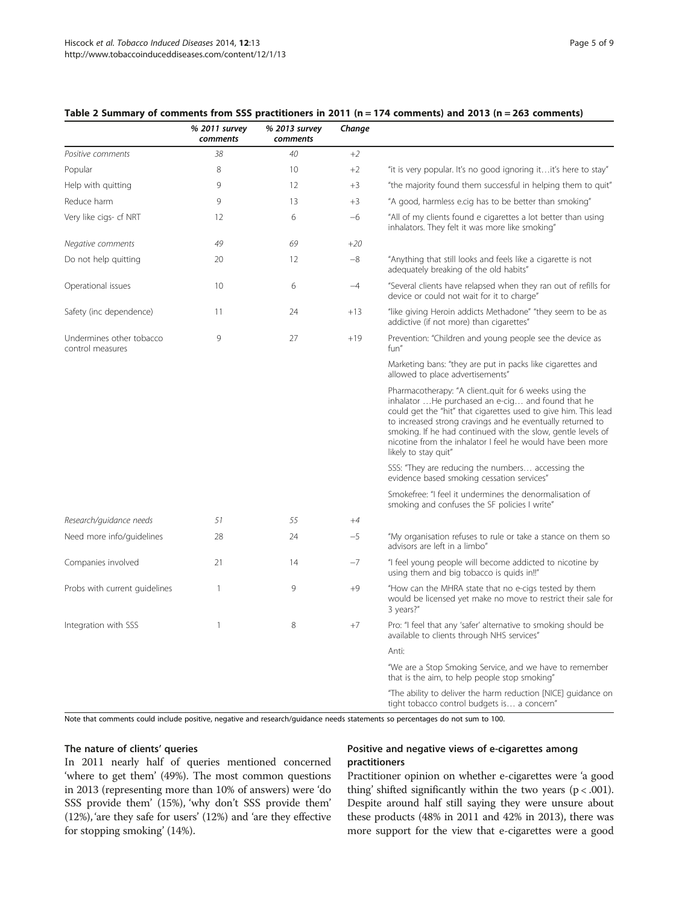|                                              | % 2011 survey<br>comments | % 2013 survey<br>comments | Change |                                                                                                                                                                                                                                                                                                                                                                                                  |
|----------------------------------------------|---------------------------|---------------------------|--------|--------------------------------------------------------------------------------------------------------------------------------------------------------------------------------------------------------------------------------------------------------------------------------------------------------------------------------------------------------------------------------------------------|
| Positive comments                            | 38                        | 40                        | $+2$   |                                                                                                                                                                                                                                                                                                                                                                                                  |
| Popular                                      | 8                         | 10                        | $+2$   | "it is very popular. It's no good ignoring itit's here to stay"                                                                                                                                                                                                                                                                                                                                  |
| Help with quitting                           | 9                         | 12                        | $+3$   | "the majority found them successful in helping them to quit"                                                                                                                                                                                                                                                                                                                                     |
| Reduce harm                                  | 9                         | 13                        | $+3$   | "A good, harmless e.cig has to be better than smoking"                                                                                                                                                                                                                                                                                                                                           |
| Very like cigs- cf NRT                       | 12                        | 6                         | $-6$   | "All of my clients found e cigarettes a lot better than using<br>inhalators. They felt it was more like smoking"                                                                                                                                                                                                                                                                                 |
| Negative comments                            | 49                        | 69                        | $+20$  |                                                                                                                                                                                                                                                                                                                                                                                                  |
| Do not help quitting                         | 20                        | 12                        | $-8$   | "Anything that still looks and feels like a cigarette is not<br>adequately breaking of the old habits"                                                                                                                                                                                                                                                                                           |
| Operational issues                           | 10                        | 6                         | $-4$   | "Several clients have relapsed when they ran out of refills for<br>device or could not wait for it to charge"                                                                                                                                                                                                                                                                                    |
| Safety (inc dependence)                      | 11                        | 24                        | $+13$  | "like giving Heroin addicts Methadone" "they seem to be as<br>addictive (if not more) than cigarettes"                                                                                                                                                                                                                                                                                           |
| Undermines other tobacco<br>control measures | 9                         | 27                        | $+19$  | Prevention: "Children and young people see the device as<br>fun"                                                                                                                                                                                                                                                                                                                                 |
|                                              |                           |                           |        | Marketing bans: "they are put in packs like cigarettes and<br>allowed to place advertisements"                                                                                                                                                                                                                                                                                                   |
|                                              |                           |                           |        | Pharmacotherapy: "A clientquit for 6 weeks using the<br>inhalator He purchased an e-cig and found that he<br>could get the "hit" that cigarettes used to give him. This lead<br>to increased strong cravings and he eventually returned to<br>smoking. If he had continued with the slow, gentle levels of<br>nicotine from the inhalator I feel he would have been more<br>likely to stay quit" |
|                                              |                           |                           |        | SSS: "They are reducing the numbers accessing the<br>evidence based smoking cessation services"                                                                                                                                                                                                                                                                                                  |
|                                              |                           |                           |        | Smokefree: "I feel it undermines the denormalisation of<br>smoking and confuses the SF policies I write"                                                                                                                                                                                                                                                                                         |
| Research/guidance needs                      | 51                        | 55                        | $+4$   |                                                                                                                                                                                                                                                                                                                                                                                                  |
| Need more info/guidelines                    | 28                        | 24                        | $-5$   | "My organisation refuses to rule or take a stance on them so<br>advisors are left in a limbo"                                                                                                                                                                                                                                                                                                    |
| Companies involved                           | 21                        | 14                        | $-7$   | "I feel young people will become addicted to nicotine by<br>using them and big tobacco is quids in!!"                                                                                                                                                                                                                                                                                            |
| Probs with current guidelines                | 1                         | 9                         | $+9$   | "How can the MHRA state that no e-cigs tested by them<br>would be licensed yet make no move to restrict their sale for<br>3 years?"                                                                                                                                                                                                                                                              |
| Integration with SSS                         | $\mathbf{1}$              | 8                         | $+7$   | Pro: "I feel that any 'safer' alternative to smoking should be<br>available to clients through NHS services"                                                                                                                                                                                                                                                                                     |
|                                              |                           |                           |        | Anti:                                                                                                                                                                                                                                                                                                                                                                                            |
|                                              |                           |                           |        | "We are a Stop Smoking Service, and we have to remember<br>that is the aim, to help people stop smoking"                                                                                                                                                                                                                                                                                         |
|                                              |                           |                           |        | "The ability to deliver the harm reduction [NICE] quidance on<br>tight tobacco control budgets is a concern"                                                                                                                                                                                                                                                                                     |

# <span id="page-4-0"></span>Table 2 Summary of comments from SSS practitioners in 2011 (n = 174 comments) and 2013 (n = 263 comments)

Note that comments could include positive, negative and research/guidance needs statements so percentages do not sum to 100.

## The nature of clients' queries

In 2011 nearly half of queries mentioned concerned 'where to get them' (49%). The most common questions in 2013 (representing more than 10% of answers) were 'do SSS provide them' (15%), 'why don't SSS provide them' (12%), 'are they safe for users' (12%) and 'are they effective for stopping smoking' (14%).

# Positive and negative views of e-cigarettes among practitioners

Practitioner opinion on whether e-cigarettes were 'a good thing' shifted significantly within the two years ( $p < .001$ ). Despite around half still saying they were unsure about these products (48% in 2011 and 42% in 2013), there was more support for the view that e-cigarettes were a good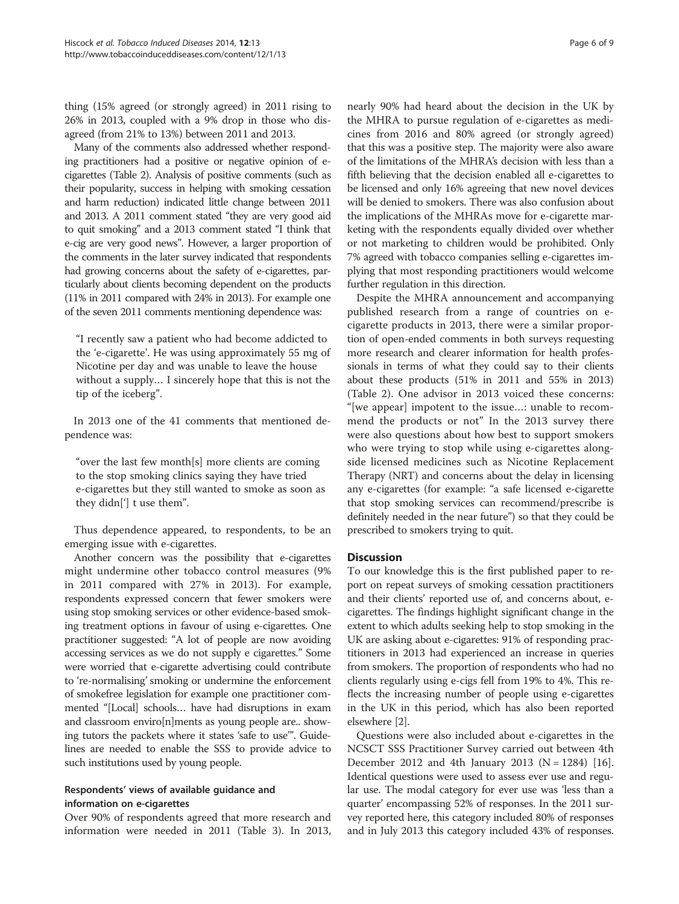thing (15% agreed (or strongly agreed) in 2011 rising to 26% in 2013, coupled with a 9% drop in those who disagreed (from 21% to 13%) between 2011 and 2013.

Many of the comments also addressed whether responding practitioners had a positive or negative opinion of ecigarettes (Table [2\)](#page-4-0). Analysis of positive comments (such as their popularity, success in helping with smoking cessation and harm reduction) indicated little change between 2011 and 2013. A 2011 comment stated "they are very good aid to quit smoking" and a 2013 comment stated "I think that e-cig are very good news". However, a larger proportion of the comments in the later survey indicated that respondents had growing concerns about the safety of e-cigarettes, particularly about clients becoming dependent on the products (11% in 2011 compared with 24% in 2013). For example one of the seven 2011 comments mentioning dependence was:

"I recently saw a patient who had become addicted to the 'e-cigarette'. He was using approximately 55 mg of Nicotine per day and was unable to leave the house without a supply… I sincerely hope that this is not the tip of the iceberg".

In 2013 one of the 41 comments that mentioned dependence was:

"over the last few month[s] more clients are coming to the stop smoking clinics saying they have tried e-cigarettes but they still wanted to smoke as soon as they didn['] t use them".

Thus dependence appeared, to respondents, to be an emerging issue with e-cigarettes.

Another concern was the possibility that e-cigarettes might undermine other tobacco control measures (9% in 2011 compared with 27% in 2013). For example, respondents expressed concern that fewer smokers were using stop smoking services or other evidence-based smoking treatment options in favour of using e-cigarettes. One practitioner suggested: "A lot of people are now avoiding accessing services as we do not supply e cigarettes." Some were worried that e-cigarette advertising could contribute to 're-normalising' smoking or undermine the enforcement of smokefree legislation for example one practitioner commented "[Local] schools… have had disruptions in exam and classroom enviro[n]ments as young people are.. showing tutors the packets where it states 'safe to use'". Guidelines are needed to enable the SSS to provide advice to such institutions used by young people.

# Respondents' views of available guidance and information on e-cigarettes

Over 90% of respondents agreed that more research and information were needed in 2011 (Table [3\)](#page-6-0). In 2013,

nearly 90% had heard about the decision in the UK by the MHRA to pursue regulation of e-cigarettes as medicines from 2016 and 80% agreed (or strongly agreed) that this was a positive step. The majority were also aware of the limitations of the MHRA's decision with less than a fifth believing that the decision enabled all e-cigarettes to be licensed and only 16% agreeing that new novel devices will be denied to smokers. There was also confusion about the implications of the MHRAs move for e-cigarette marketing with the respondents equally divided over whether or not marketing to children would be prohibited. Only 7% agreed with tobacco companies selling e-cigarettes implying that most responding practitioners would welcome further regulation in this direction.

Despite the MHRA announcement and accompanying published research from a range of countries on ecigarette products in 2013, there were a similar proportion of open-ended comments in both surveys requesting more research and clearer information for health professionals in terms of what they could say to their clients about these products (51% in 2011 and 55% in 2013) (Table [2\)](#page-4-0). One advisor in 2013 voiced these concerns: "[we appear] impotent to the issue…: unable to recommend the products or not" In the 2013 survey there were also questions about how best to support smokers who were trying to stop while using e-cigarettes alongside licensed medicines such as Nicotine Replacement Therapy (NRT) and concerns about the delay in licensing any e-cigarettes (for example: "a safe licensed e-cigarette that stop smoking services can recommend/prescribe is definitely needed in the near future") so that they could be prescribed to smokers trying to quit.

# **Discussion**

To our knowledge this is the first published paper to report on repeat surveys of smoking cessation practitioners and their clients' reported use of, and concerns about, ecigarettes. The findings highlight significant change in the extent to which adults seeking help to stop smoking in the UK are asking about e-cigarettes: 91% of responding practitioners in 2013 had experienced an increase in queries from smokers. The proportion of respondents who had no clients regularly using e-cigs fell from 19% to 4%. This reflects the increasing number of people using e-cigarettes in the UK in this period, which has also been reported elsewhere [\[2](#page-8-0)].

Questions were also included about e-cigarettes in the NCSCT SSS Practitioner Survey carried out between 4th December 2012 and 4th January 2013 ( $N = 1284$ ) [\[16](#page-8-0)]. Identical questions were used to assess ever use and regular use. The modal category for ever use was 'less than a quarter' encompassing 52% of responses. In the 2011 survey reported here, this category included 80% of responses and in July 2013 this category included 43% of responses.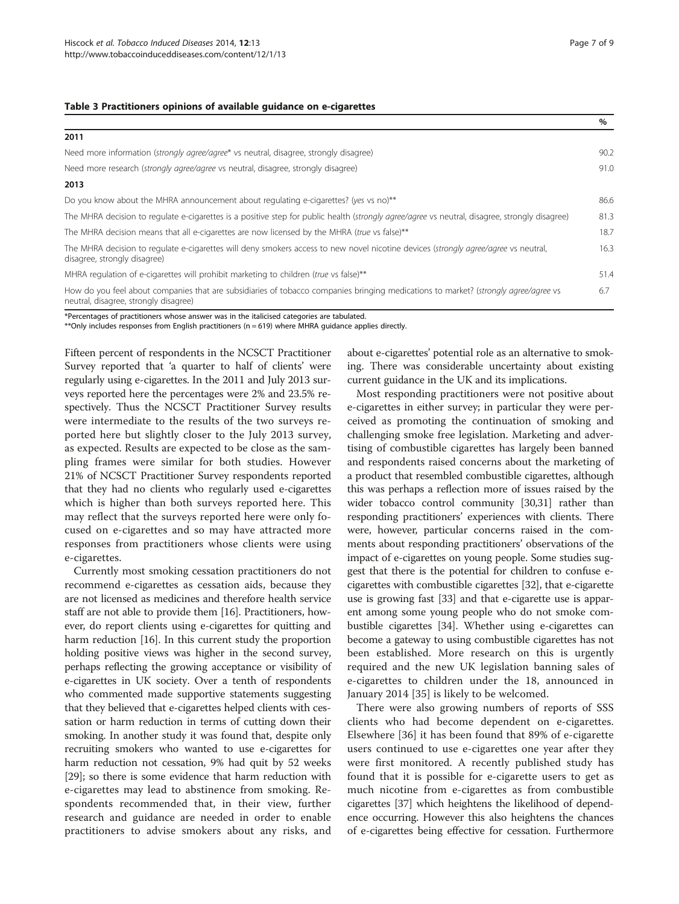<span id="page-6-0"></span>

|                                                                                                                                                                              | $\%$ |
|------------------------------------------------------------------------------------------------------------------------------------------------------------------------------|------|
| 2011                                                                                                                                                                         |      |
| Need more information (strongly agree/agree* vs neutral, disagree, strongly disagree)                                                                                        | 90.2 |
| Need more research (strongly agree/agree vs neutral, disagree, strongly disagree)                                                                                            | 91.0 |
| 2013                                                                                                                                                                         |      |
| Do you know about the MHRA announcement about regulating e-cigarettes? (yes vs no)**                                                                                         | 86.6 |
| The MHRA decision to regulate e-cigarettes is a positive step for public health (strongly agree/agree vs neutral, disagree, strongly disagree)                               | 81.3 |
| The MHRA decision means that all e-cigarettes are now licensed by the MHRA (true vs false)**                                                                                 | 18.7 |
| The MHRA decision to regulate e-cigarettes will deny smokers access to new novel nicotine devices (strongly agree/agree vs neutral,<br>disagree, strongly disagree)          | 16.3 |
| MHRA requlation of e-cigarettes will prohibit marketing to children (true vs false)**                                                                                        | 51.4 |
| How do you feel about companies that are subsidiaries of tobacco companies bringing medications to market? (strongly agree/agree vs<br>neutral, disagree, strongly disagree) | 6.7  |
| parcentage of practitioners whose apswer was in the italicised categories are tabulated                                                                                      |      |

\*Percentages of practitioners whose answer was in the italicised categories are tabulated.

\*\*Only includes responses from English practitioners (n = 619) where MHRA guidance applies directly.

Fifteen percent of respondents in the NCSCT Practitioner Survey reported that 'a quarter to half of clients' were regularly using e-cigarettes. In the 2011 and July 2013 surveys reported here the percentages were 2% and 23.5% respectively. Thus the NCSCT Practitioner Survey results were intermediate to the results of the two surveys reported here but slightly closer to the July 2013 survey, as expected. Results are expected to be close as the sampling frames were similar for both studies. However 21% of NCSCT Practitioner Survey respondents reported that they had no clients who regularly used e-cigarettes which is higher than both surveys reported here. This may reflect that the surveys reported here were only focused on e-cigarettes and so may have attracted more responses from practitioners whose clients were using e-cigarettes.

Currently most smoking cessation practitioners do not recommend e-cigarettes as cessation aids, because they are not licensed as medicines and therefore health service staff are not able to provide them [[16](#page-8-0)]. Practitioners, however, do report clients using e-cigarettes for quitting and harm reduction [\[16\]](#page-8-0). In this current study the proportion holding positive views was higher in the second survey, perhaps reflecting the growing acceptance or visibility of e-cigarettes in UK society. Over a tenth of respondents who commented made supportive statements suggesting that they believed that e-cigarettes helped clients with cessation or harm reduction in terms of cutting down their smoking. In another study it was found that, despite only recruiting smokers who wanted to use e-cigarettes for harm reduction not cessation, 9% had quit by 52 weeks [[29](#page-8-0)]; so there is some evidence that harm reduction with e-cigarettes may lead to abstinence from smoking. Respondents recommended that, in their view, further research and guidance are needed in order to enable practitioners to advise smokers about any risks, and

about e-cigarettes' potential role as an alternative to smoking. There was considerable uncertainty about existing current guidance in the UK and its implications.

Most responding practitioners were not positive about e-cigarettes in either survey; in particular they were perceived as promoting the continuation of smoking and challenging smoke free legislation. Marketing and advertising of combustible cigarettes has largely been banned and respondents raised concerns about the marketing of a product that resembled combustible cigarettes, although this was perhaps a reflection more of issues raised by the wider tobacco control community [\[30,31](#page-8-0)] rather than responding practitioners' experiences with clients. There were, however, particular concerns raised in the comments about responding practitioners' observations of the impact of e-cigarettes on young people. Some studies suggest that there is the potential for children to confuse ecigarettes with combustible cigarettes [[32](#page-8-0)], that e-cigarette use is growing fast [\[33](#page-8-0)] and that e-cigarette use is apparent among some young people who do not smoke combustible cigarettes [\[34\]](#page-8-0). Whether using e-cigarettes can become a gateway to using combustible cigarettes has not been established. More research on this is urgently required and the new UK legislation banning sales of e-cigarettes to children under the 18, announced in January 2014 [\[35](#page-8-0)] is likely to be welcomed.

There were also growing numbers of reports of SSS clients who had become dependent on e-cigarettes. Elsewhere [[36\]](#page-8-0) it has been found that 89% of e-cigarette users continued to use e-cigarettes one year after they were first monitored. A recently published study has found that it is possible for e-cigarette users to get as much nicotine from e-cigarettes as from combustible cigarettes [\[37\]](#page-8-0) which heightens the likelihood of dependence occurring. However this also heightens the chances of e-cigarettes being effective for cessation. Furthermore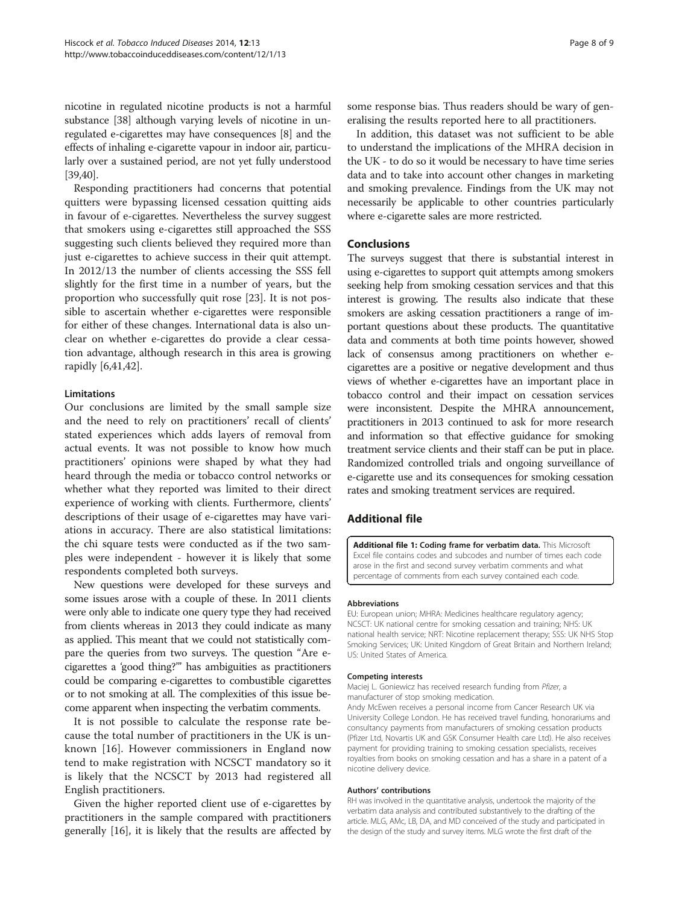<span id="page-7-0"></span>nicotine in regulated nicotine products is not a harmful substance [[38](#page-8-0)] although varying levels of nicotine in unregulated e-cigarettes may have consequences [[8](#page-8-0)] and the effects of inhaling e-cigarette vapour in indoor air, particularly over a sustained period, are not yet fully understood [[39,40](#page-8-0)].

Responding practitioners had concerns that potential quitters were bypassing licensed cessation quitting aids in favour of e-cigarettes. Nevertheless the survey suggest that smokers using e-cigarettes still approached the SSS suggesting such clients believed they required more than just e-cigarettes to achieve success in their quit attempt. In 2012/13 the number of clients accessing the SSS fell slightly for the first time in a number of years, but the proportion who successfully quit rose [\[23](#page-8-0)]. It is not possible to ascertain whether e-cigarettes were responsible for either of these changes. International data is also unclear on whether e-cigarettes do provide a clear cessation advantage, although research in this area is growing rapidly [[6,41,42\]](#page-8-0).

# Limitations

Our conclusions are limited by the small sample size and the need to rely on practitioners' recall of clients' stated experiences which adds layers of removal from actual events. It was not possible to know how much practitioners' opinions were shaped by what they had heard through the media or tobacco control networks or whether what they reported was limited to their direct experience of working with clients. Furthermore, clients' descriptions of their usage of e-cigarettes may have variations in accuracy. There are also statistical limitations: the chi square tests were conducted as if the two samples were independent - however it is likely that some respondents completed both surveys.

New questions were developed for these surveys and some issues arose with a couple of these. In 2011 clients were only able to indicate one query type they had received from clients whereas in 2013 they could indicate as many as applied. This meant that we could not statistically compare the queries from two surveys. The question "Are ecigarettes a 'good thing?'" has ambiguities as practitioners could be comparing e-cigarettes to combustible cigarettes or to not smoking at all. The complexities of this issue become apparent when inspecting the verbatim comments.

It is not possible to calculate the response rate because the total number of practitioners in the UK is unknown [[16\]](#page-8-0). However commissioners in England now tend to make registration with NCSCT mandatory so it is likely that the NCSCT by 2013 had registered all English practitioners.

Given the higher reported client use of e-cigarettes by practitioners in the sample compared with practitioners generally [[16\]](#page-8-0), it is likely that the results are affected by

some response bias. Thus readers should be wary of generalising the results reported here to all practitioners.

In addition, this dataset was not sufficient to be able to understand the implications of the MHRA decision in the UK - to do so it would be necessary to have time series data and to take into account other changes in marketing and smoking prevalence. Findings from the UK may not necessarily be applicable to other countries particularly where e-cigarette sales are more restricted.

# Conclusions

The surveys suggest that there is substantial interest in using e-cigarettes to support quit attempts among smokers seeking help from smoking cessation services and that this interest is growing. The results also indicate that these smokers are asking cessation practitioners a range of important questions about these products. The quantitative data and comments at both time points however, showed lack of consensus among practitioners on whether ecigarettes are a positive or negative development and thus views of whether e-cigarettes have an important place in tobacco control and their impact on cessation services were inconsistent. Despite the MHRA announcement, practitioners in 2013 continued to ask for more research and information so that effective guidance for smoking treatment service clients and their staff can be put in place. Randomized controlled trials and ongoing surveillance of e-cigarette use and its consequences for smoking cessation rates and smoking treatment services are required.

# Additional file

[Additional file 1:](http://www.biomedcentral.com/content/supplementary/1617-9625-12-13-S1.xlsx) Coding frame for verbatim data. This Microsoft Excel file contains codes and subcodes and number of times each code arose in the first and second survey verbatim comments and what percentage of comments from each survey contained each code.

#### Abbreviations

EU: European union; MHRA: Medicines healthcare regulatory agency; NCSCT: UK national centre for smoking cessation and training; NHS: UK national health service; NRT: Nicotine replacement therapy; SSS: UK NHS Stop Smoking Services; UK: United Kingdom of Great Britain and Northern Ireland; US: United States of America.

#### Competing interests

Maciej L. Goniewicz has received research funding from Pfizer, a manufacturer of stop smoking medication.

Andy McEwen receives a personal income from Cancer Research UK via University College London. He has received travel funding, honorariums and consultancy payments from manufacturers of smoking cessation products (Pfizer Ltd, Novartis UK and GSK Consumer Health care Ltd). He also receives payment for providing training to smoking cessation specialists, receives royalties from books on smoking cessation and has a share in a patent of a nicotine delivery device.

#### Authors' contributions

RH was involved in the quantitative analysis, undertook the majority of the verbatim data analysis and contributed substantively to the drafting of the article. MLG, AMc, LB, DA, and MD conceived of the study and participated in the design of the study and survey items. MLG wrote the first draft of the